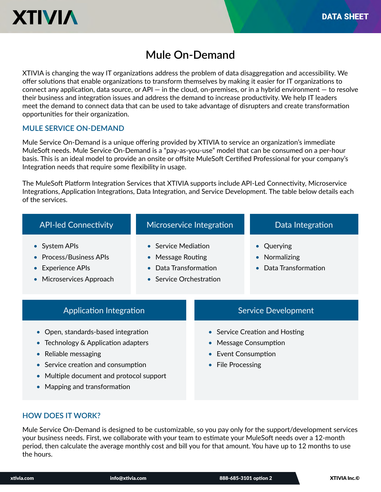

# **Mule On-Demand**

XTIVIA is changing the way IT organizations address the problem of data disaggregation and accessibility. We offer solutions that enable organizations to transform themselves by making it easier for IT organizations to Virtual California that chapter organizations to than bronn the monthly by making it caster for the organizations to connect any application, data source, or API  $-$  in the cloud, on-premises, or in a hybrid environment  $-$  to resolve their business and integration issues and address the demand to increase productivity. We help IT leaders meet the demand to connect data that can be used to take advantage of disrupters and create transformation opportunities for their organization.

#### **MULE SERVICE ON-DEMAND**

Premium basis. This is an ideal model to provide an onsite or offsite MuleSoft Certified Professional for your company's Integration needs that require some flexibility in usage. Mule Service On-Demand is a unique offering provided by XTIVIA to service an organization's immediate MuleSoft needs. Mule Service On-Demand is a "pay-as-you-use" model that can be consumed on a per-hour

.<br>The MuleSoft Platform Integration Services that XTIVIA supports include API-Led Connectivity, Microservice Unique business needs? Need expert or additional resources? Integrations, Application Integrations, Data Integration, and Service Development. The table below details each of the services.

| <b>API-led Connectivity</b>                                                                                                                                                                                                                                    | Microservice Integration                                                                           |                                                                                                                                                    | Data Integration                                 |
|----------------------------------------------------------------------------------------------------------------------------------------------------------------------------------------------------------------------------------------------------------------|----------------------------------------------------------------------------------------------------|----------------------------------------------------------------------------------------------------------------------------------------------------|--------------------------------------------------|
| • System APIs<br><b>Process/Business APIs</b><br>Experience APIs<br>• Microservices Approach                                                                                                                                                                   | • Service Mediation<br>• Message Routing<br>Data Transformation<br>$\bullet$ Service Orchestration |                                                                                                                                                    | • Querying<br>Normalizing<br>Data Transformation |
| Application Integration                                                                                                                                                                                                                                        |                                                                                                    | <b>Service Development</b>                                                                                                                         |                                                  |
| • Open, standards-based integration<br>Technology & Application adapters<br>$\bullet$<br>Reliable messaging<br>$\bullet$<br>Service creation and consumption<br>$\bullet$<br>Multiple document and protocol support<br>Mapping and transformation<br>$\bullet$ |                                                                                                    | • Service Creation and Hosting<br><b>Message Consumption</b><br>$\bullet$<br>Event Consumption<br>$\bullet$<br><b>File Processing</b><br>$\bullet$ |                                                  |

#### **HOW DOES IT WORK?**

your business needs. First, we collaborate with your team to estimate your MuleSoft needs over a 12-month While you can be your collection eriou, t<br>. Providing Database onthly cost and bil  $2425$  your remote one  $\alpha$  amount. To  $\alpha$  $\frac{1}{2}$  money period, then calculate the average monthly cost and bill you for that amount. You have up to 12 months to use<br>. Mule Service On-Demand is designed to be customizable, so you pay only for the support/development services the hours.